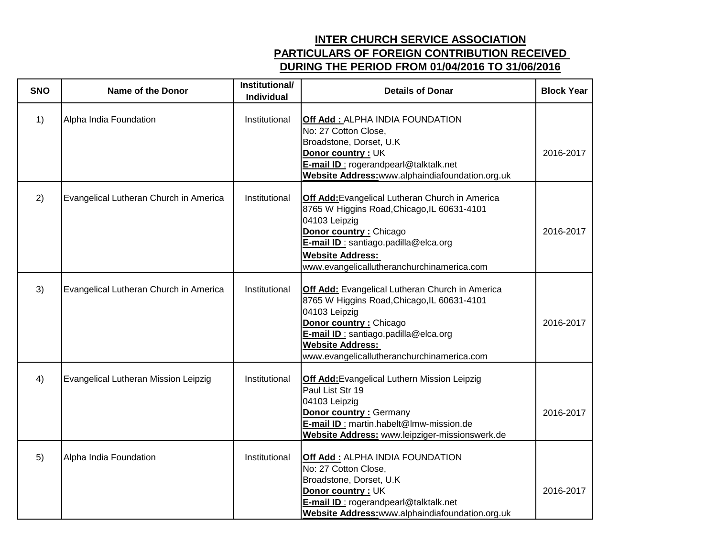## **INTER CHURCH SERVICE ASSOCIATION PARTICULARS OF FOREIGN CONTRIBUTION RECEIVED DURING THE PERIOD FROM 01/04/2016 TO 31/06/2016**

| <b>SNO</b> | <b>Name of the Donor</b>               | Institutional/<br><b>Individual</b> | <b>Details of Donar</b>                                                                                                                                                                                                                                      | <b>Block Year</b> |
|------------|----------------------------------------|-------------------------------------|--------------------------------------------------------------------------------------------------------------------------------------------------------------------------------------------------------------------------------------------------------------|-------------------|
| 1)         | Alpha India Foundation                 | Institutional                       | Off Add: ALPHA INDIA FOUNDATION<br>No: 27 Cotton Close,<br>Broadstone, Dorset, U.K.<br>Donor country: UK<br>E-mail ID: rogerandpearl@talktalk.net<br>Website Address: www.alphaindiafoundation.org.uk                                                        | 2016-2017         |
| 2)         | Evangelical Lutheran Church in America | Institutional                       | Off Add: Evangelical Lutheran Church in America<br>8765 W Higgins Road, Chicago, IL 60631-4101<br>04103 Leipzig<br>Donor country: Chicago<br>E-mail ID : santiago.padilla@elca.org<br><b>Website Address:</b><br>www.evangelicallutheranchurchinamerica.com  | 2016-2017         |
| 3)         | Evangelical Lutheran Church in America | Institutional                       | Off Add: Evangelical Lutheran Church in America<br>8765 W Higgins Road, Chicago, IL 60631-4101<br>04103 Leipzig<br>Donor country : Chicago<br>E-mail ID : santiago.padilla@elca.org<br><b>Website Address:</b><br>www.evangelicallutheranchurchinamerica.com | 2016-2017         |
| 4)         | Evangelical Lutheran Mission Leipzig   | Institutional                       | <b>Off Add:</b> Evangelical Luthern Mission Leipzig<br>Paul List Str 19<br>04103 Leipzig<br><b>Donor country: Germany</b><br>E-mail ID : martin.habelt@lmw-mission.de<br>Website Address: www.leipziger-missionswerk.de                                      | 2016-2017         |
| 5)         | Alpha India Foundation                 | Institutional                       | Off Add: ALPHA INDIA FOUNDATION<br>No: 27 Cotton Close,<br>Broadstone, Dorset, U.K<br>Donor country: UK<br>E-mail ID: rogerandpearl@talktalk.net<br>Website Address: www.alphaindiafoundation.org.uk                                                         | 2016-2017         |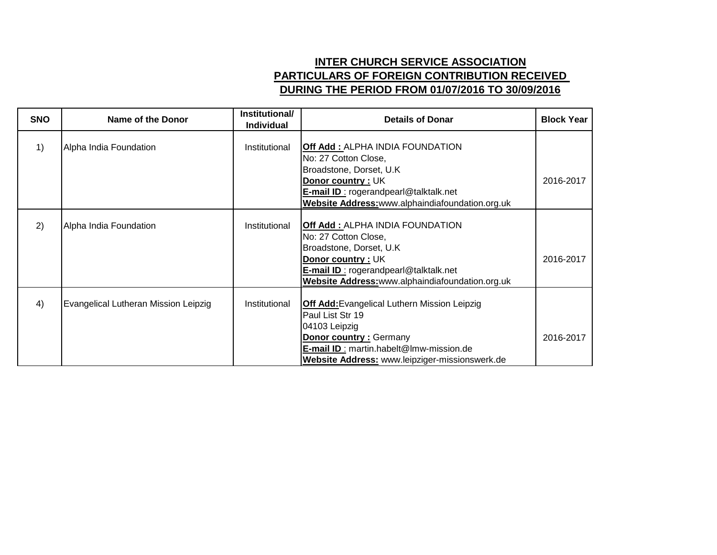## **INTER CHURCH SERVICE ASSOCIATION PARTICULARS OF FOREIGN CONTRIBUTION RECEIVED DURING THE PERIOD FROM 01/07/2016 TO 30/09/2016**

| <b>SNO</b> | Name of the Donor                    | Institutional/<br><b>Individual</b> | <b>Details of Donar</b>                                                                                                                                                                                                | <b>Block Year</b> |
|------------|--------------------------------------|-------------------------------------|------------------------------------------------------------------------------------------------------------------------------------------------------------------------------------------------------------------------|-------------------|
| 1)         | Alpha India Foundation               | Institutional                       | <b>Off Add: ALPHA INDIA FOUNDATION</b><br>No: 27 Cotton Close,<br>Broadstone, Dorset, U.K.<br>Donor country: UK<br><b>E-mail ID: rogerandpearl@talktalk.net</b><br>Website Address: www.alphaindiafoundation.org.uk    | 2016-2017         |
| 2)         | Alpha India Foundation               | Institutional                       | Off Add: ALPHA INDIA FOUNDATION<br>No: 27 Cotton Close,<br>Broadstone, Dorset, U.K.<br>Donor country: UK<br><b>E-mail ID:</b> rogerandpearl@talktalk.net<br>Website Address: www.alphaindiafoundation.org.uk           | 2016-2017         |
| 4)         | Evangelical Lutheran Mission Leipzig | Institutional                       | <b>Off Add:</b> Evangelical Luthern Mission Leipzig<br>Paul List Str 19<br>04103 Leipzig<br><b>Donor country: Germany</b><br>E-mail ID: martin.habelt@lmw-mission.de<br>Website Address: www.leipziger-missionswerk.de | 2016-2017         |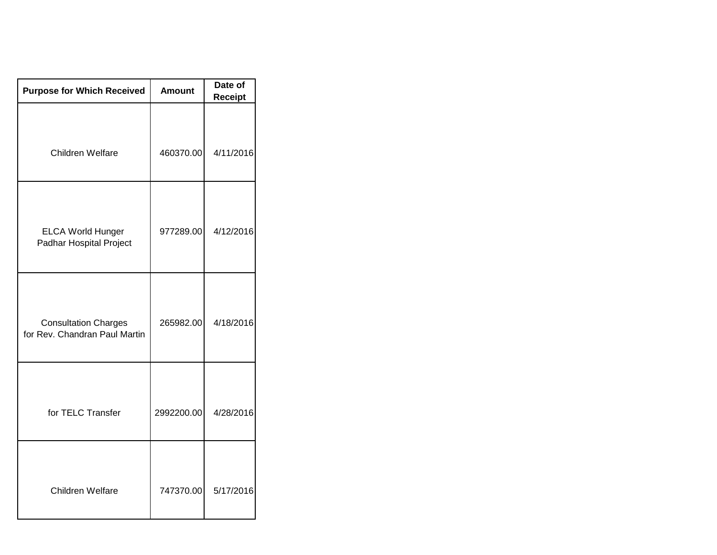| <b>Purpose for Which Received</b>                            | <b>Amount</b> | Date of<br><b>Receipt</b> |  |
|--------------------------------------------------------------|---------------|---------------------------|--|
| Children Welfare                                             | 460370.00     | 4/11/2016                 |  |
| <b>ELCA World Hunger</b><br>Padhar Hospital Project          | 977289.00     | 4/12/2016                 |  |
| <b>Consultation Charges</b><br>for Rev. Chandran Paul Martin | 265982.00     | 4/18/2016                 |  |
| for TELC Transfer                                            | 2992200.00    | 4/28/2016                 |  |
| Children Welfare                                             | 747370.00     | 5/17/2016                 |  |